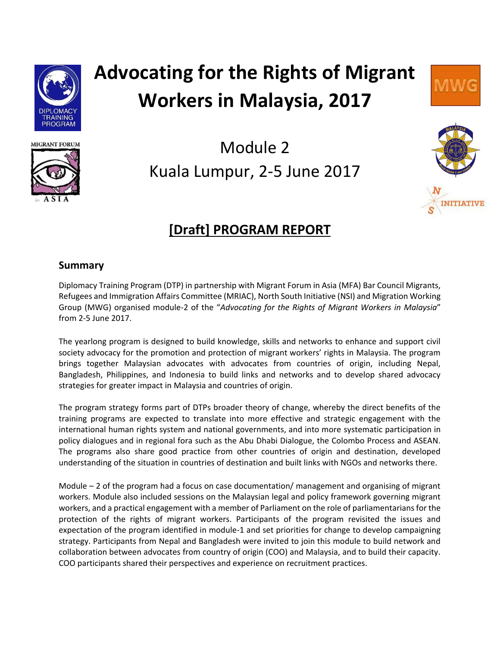

# **Advocating for the Rights of Migrant Workers in Malaysia, 2017**





## Module 2 Kuala Lumpur, 2-5 June 2017



### **[Draft] PROGRAM REPORT**

#### **Summary**

Diplomacy Training Program (DTP) in partnership with Migrant Forum in Asia (MFA) Bar Council Migrants, Refugees and Immigration Affairs Committee (MRIAC), North South Initiative (NSI) and Migration Working Group (MWG) organised module-2 of the "*Advocating for the Rights of Migrant Workers in Malaysia*" from 2-5 June 2017.

The yearlong program is designed to build knowledge, skills and networks to enhance and support civil society advocacy for the promotion and protection of migrant workers' rights in Malaysia. The program brings together Malaysian advocates with advocates from countries of origin, including Nepal, Bangladesh, Philippines, and Indonesia to build links and networks and to develop shared advocacy strategies for greater impact in Malaysia and countries of origin.

The program strategy forms part of DTPs broader theory of change, whereby the direct benefits of the training programs are expected to translate into more effective and strategic engagement with the international human rights system and national governments, and into more systematic participation in policy dialogues and in regional fora such as the Abu Dhabi Dialogue, the Colombo Process and ASEAN. The programs also share good practice from other countries of origin and destination, developed understanding of the situation in countries of destination and built links with NGOs and networks there.

Module – 2 of the program had a focus on case documentation/ management and organising of migrant workers. Module also included sessions on the Malaysian legal and policy framework governing migrant workers, and a practical engagement with a member of Parliament on the role of parliamentarians for the protection of the rights of migrant workers. Participants of the program revisited the issues and expectation of the program identified in module-1 and set priorities for change to develop campaigning strategy. Participants from Nepal and Bangladesh were invited to join this module to build network and collaboration between advocates from country of origin (COO) and Malaysia, and to build their capacity. COO participants shared their perspectives and experience on recruitment practices.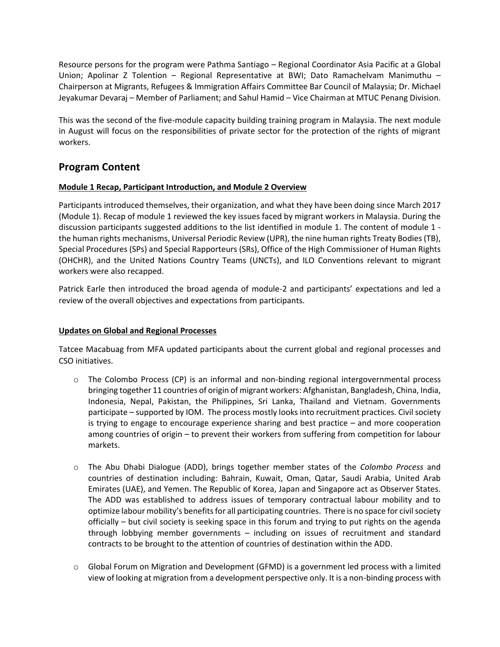Resource persons for the program were Pathma Santiago – Regional Coordinator Asia Pacific at a Global Union; Apolinar Z Tolention – Regional Representative at BWI; Dato Ramachelvam Manimuthu – Chairperson at Migrants, Refugees & Immigration Affairs Committee Bar Council of Malaysia; Dr. Michael Jeyakumar Devaraj – Member of Parliament; and Sahul Hamid – Vice Chairman at MTUC Penang Division.

This was the second of the five-module capacity building training program in Malaysia. The next module in August will focus on the responsibilities of private sector for the protection of the rights of migrant workers.

#### **Program Content**

#### **Module 1 Recap, Participant Introduction, and Module 2 Overview**

Participants introduced themselves, their organization, and what they have been doing since March 2017 (Module 1). Recap of module 1 reviewed the key issues faced by migrant workers in Malaysia. During the discussion participants suggested additions to the list identified in module 1. The content of module 1 the human rights mechanisms, Universal Periodic Review (UPR), the nine human rights Treaty Bodies (TB), Special Procedures (SPs) and Special Rapporteurs (SRs), Office of the High Commissioner of Human Rights (OHCHR), and the United Nations Country Teams (UNCTs), and ILO Conventions relevant to migrant workers were also recapped.

Patrick Earle then introduced the broad agenda of module-2 and participants' expectations and led a review of the overall objectives and expectations from participants.

#### **Updates on Global and Regional Processes**

Tatcee Macabuag from MFA updated participants about the current global and regional processes and CSO initiatives.

- $\circ$  The Colombo Process (CP) is an informal and non-binding regional intergovernmental process bringing together 11 countries of origin of migrant workers: Afghanistan, Bangladesh, China, India, Indonesia, Nepal, Pakistan, the Philippines, Sri Lanka, Thailand and Vietnam. Governments participate – supported by IOM. The process mostly looks into recruitment practices. Civil society is trying to engage to encourage experience sharing and best practice – and more cooperation among countries of origin – to prevent their workers from suffering from competition for labour markets.
- o The Abu Dhabi Dialogue (ADD), brings together member states of the *Colombo Process* and countries of destination including: Bahrain, Kuwait, Oman, Qatar, Saudi Arabia, United Arab Emirates (UAE), and Yemen. The Republic of Korea, Japan and Singapore act as Observer States. The ADD was established to address issues of temporary contractual labour mobility and to optimize labour mobility's benefits for all participating countries. There is no space for civil society officially – but civil society is seeking space in this forum and trying to put rights on the agenda through lobbying member governments – including on issues of recruitment and standard contracts to be brought to the attention of countries of destination within the ADD.
- $\circ$  Global Forum on Migration and Development (GFMD) is a government led process with a limited view of looking at migration from a development perspective only. It is a non-binding process with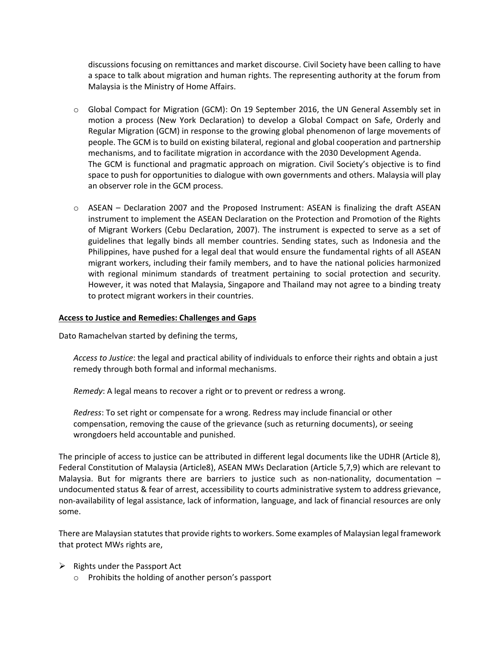discussions focusing on remittances and market discourse. Civil Society have been calling to have a space to talk about migration and human rights. The representing authority at the forum from Malaysia is the Ministry of Home Affairs.

- o Global Compact for Migration (GCM): On 19 September 2016, the UN General Assembly set in motion a process (New York Declaration) to develop a Global Compact on Safe, Orderly and Regular Migration (GCM) in response to the growing global phenomenon of large movements of people. The GCM is to build on existing bilateral, regional and global cooperation and partnership mechanisms, and to facilitate migration in accordance with the 2030 Development Agenda. The GCM is functional and pragmatic approach on migration. Civil Society's objective is to find space to push for opportunities to dialogue with own governments and others. Malaysia will play an observer role in the GCM process.
- $\circ$  ASEAN Declaration 2007 and the Proposed Instrument: ASEAN is finalizing the draft ASEAN instrument to implement the ASEAN Declaration on the Protection and Promotion of the Rights of Migrant Workers (Cebu Declaration, 2007). The instrument is expected to serve as a set of guidelines that legally binds all member countries. Sending states, such as Indonesia and the Philippines, have pushed for a legal deal that would ensure the fundamental rights of all ASEAN migrant workers, including their family members, and to have the national policies harmonized with regional minimum standards of treatment pertaining to social protection and security. However, it was noted that Malaysia, Singapore and Thailand may not agree to a binding treaty to protect migrant workers in their countries.

#### **Access to Justice and Remedies: Challenges and Gaps**

Dato Ramachelvan started by defining the terms,

*Access to Justice*: the legal and practical ability of individuals to enforce their rights and obtain a just remedy through both formal and informal mechanisms.

*Remedy*: A legal means to recover a right or to prevent or redress a wrong.

*Redress*: To set right or compensate for a wrong. Redress may include financial or other compensation, removing the cause of the grievance (such as returning documents), or seeing wrongdoers held accountable and punished.

The principle of access to justice can be attributed in different legal documents like the UDHR (Article 8), Federal Constitution of Malaysia (Article8), ASEAN MWs Declaration (Article 5,7,9) which are relevant to Malaysia. But for migrants there are barriers to justice such as non-nationality, documentation – undocumented status & fear of arrest, accessibility to courts administrative system to address grievance, non-availability of legal assistance, lack of information, language, and lack of financial resources are only some.

There are Malaysian statutes that provide rights to workers. Some examples of Malaysian legal framework that protect MWs rights are,

- $\triangleright$  Rights under the Passport Act
	- o Prohibits the holding of another person's passport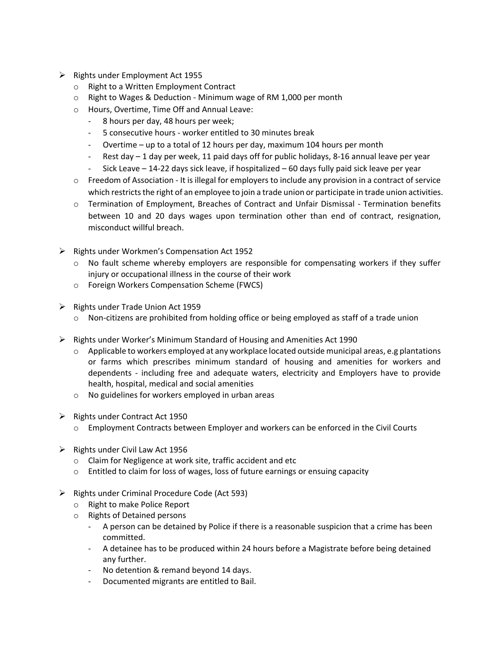- ➢ Rights under Employment Act 1955
	- o Right to a Written Employment Contract
	- o Right to Wages & Deduction Minimum wage of RM 1,000 per month
	- o Hours, Overtime, Time Off and Annual Leave:
		- 8 hours per day, 48 hours per week;
		- 5 consecutive hours worker entitled to 30 minutes break
		- Overtime up to a total of 12 hours per day, maximum 104 hours per month
		- Rest day 1 day per week, 11 paid days off for public holidays, 8-16 annual leave per year
		- Sick Leave 14-22 days sick leave, if hospitalized 60 days fully paid sick leave per year
	- $\circ$  Freedom of Association It is illegal for employers to include any provision in a contract of service which restricts the right of an employee to join a trade union or participate in trade union activities.
	- o Termination of Employment, Breaches of Contract and Unfair Dismissal Termination benefits between 10 and 20 days wages upon termination other than end of contract, resignation, misconduct willful breach.
- ➢ Rights under Workmen's Compensation Act 1952
	- $\circ$  No fault scheme whereby employers are responsible for compensating workers if they suffer injury or occupational illness in the course of their work
	- o Foreign Workers Compensation Scheme (FWCS)
- ➢ Rights under Trade Union Act 1959
	- o Non-citizens are prohibited from holding office or being employed as staff of a trade union
- ➢ Rights under Worker's Minimum Standard of Housing and Amenities Act 1990
	- $\circ$  Applicable to workers employed at any workplace located outside municipal areas, e.g plantations or farms which prescribes minimum standard of housing and amenities for workers and dependents - including free and adequate waters, electricity and Employers have to provide health, hospital, medical and social amenities
	- o No guidelines for workers employed in urban areas
- ➢ Rights under Contract Act 1950
	- o Employment Contracts between Employer and workers can be enforced in the Civil Courts
- $\triangleright$  Rights under Civil Law Act 1956
	- o Claim for Negligence at work site, traffic accident and etc
	- o Entitled to claim for loss of wages, loss of future earnings or ensuing capacity
- ➢ Rights under Criminal Procedure Code (Act 593)
	- o Right to make Police Report
	- o Rights of Detained persons
		- A person can be detained by Police if there is a reasonable suspicion that a crime has been committed.
		- A detainee has to be produced within 24 hours before a Magistrate before being detained any further.
		- No detention & remand beyond 14 days.
		- Documented migrants are entitled to Bail.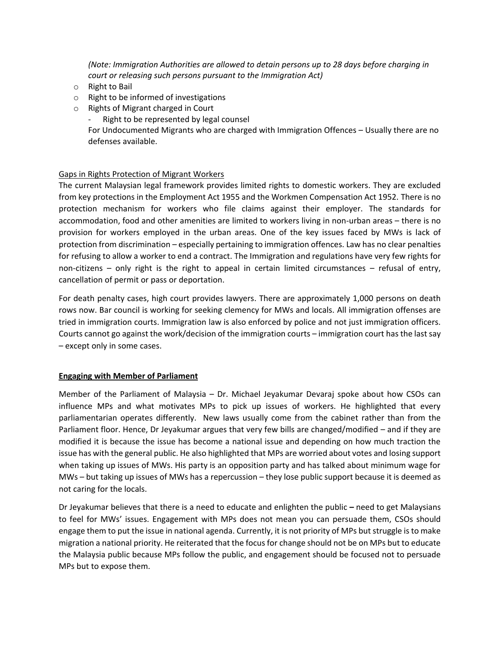*(Note: Immigration Authorities are allowed to detain persons up to 28 days before charging in court or releasing such persons pursuant to the Immigration Act)*

- o Right to Bail
- o Right to be informed of investigations
- o Rights of Migrant charged in Court
	- Right to be represented by legal counsel

For Undocumented Migrants who are charged with Immigration Offences – Usually there are no defenses available.

#### Gaps in Rights Protection of Migrant Workers

The current Malaysian legal framework provides limited rights to domestic workers. They are excluded from key protections in the Employment Act 1955 and the Workmen Compensation Act 1952. There is no protection mechanism for workers who file claims against their employer. The standards for accommodation, food and other amenities are limited to workers living in non-urban areas – there is no provision for workers employed in the urban areas. One of the key issues faced by MWs is lack of protection from discrimination – especially pertaining to immigration offences. Law has no clear penalties for refusing to allow a worker to end a contract. The Immigration and regulations have very few rights for non-citizens – only right is the right to appeal in certain limited circumstances – refusal of entry, cancellation of permit or pass or deportation.

For death penalty cases, high court provides lawyers. There are approximately 1,000 persons on death rows now. Bar council is working for seeking clemency for MWs and locals. All immigration offenses are tried in immigration courts. Immigration law is also enforced by police and not just immigration officers. Courts cannot go against the work/decision of the immigration courts – immigration court has the last say – except only in some cases.

#### **Engaging with Member of Parliament**

Member of the Parliament of Malaysia – Dr. Michael Jeyakumar Devaraj spoke about how CSOs can influence MPs and what motivates MPs to pick up issues of workers. He highlighted that every parliamentarian operates differently. New laws usually come from the cabinet rather than from the Parliament floor. Hence, Dr Jeyakumar argues that very few bills are changed/modified – and if they are modified it is because the issue has become a national issue and depending on how much traction the issue has with the general public. He also highlighted that MPs are worried about votes and losing support when taking up issues of MWs. His party is an opposition party and has talked about minimum wage for MWs – but taking up issues of MWs has a repercussion – they lose public support because it is deemed as not caring for the locals.

Dr Jeyakumar believes that there is a need to educate and enlighten the public **–** need to get Malaysians to feel for MWs' issues. Engagement with MPs does not mean you can persuade them, CSOs should engage them to put the issue in national agenda. Currently, it is not priority of MPs but struggle is to make migration a national priority. He reiterated that the focus for change should not be on MPs but to educate the Malaysia public because MPs follow the public, and engagement should be focused not to persuade MPs but to expose them.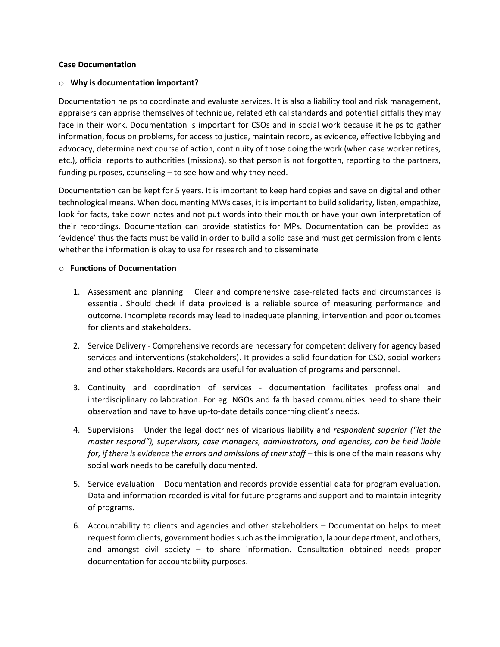#### **Case Documentation**

#### o **Why is documentation important?**

Documentation helps to coordinate and evaluate services. It is also a liability tool and risk management, appraisers can apprise themselves of technique, related ethical standards and potential pitfalls they may face in their work. Documentation is important for CSOs and in social work because it helps to gather information, focus on problems, for access to justice, maintain record, as evidence, effective lobbying and advocacy, determine next course of action, continuity of those doing the work (when case worker retires, etc.), official reports to authorities (missions), so that person is not forgotten, reporting to the partners, funding purposes, counseling – to see how and why they need.

Documentation can be kept for 5 years. It is important to keep hard copies and save on digital and other technological means. When documenting MWs cases, it is important to build solidarity, listen, empathize, look for facts, take down notes and not put words into their mouth or have your own interpretation of their recordings. Documentation can provide statistics for MPs. Documentation can be provided as 'evidence' thus the facts must be valid in order to build a solid case and must get permission from clients whether the information is okay to use for research and to disseminate

#### o **Functions of Documentation**

- 1. Assessment and planning Clear and comprehensive case-related facts and circumstances is essential. Should check if data provided is a reliable source of measuring performance and outcome. Incomplete records may lead to inadequate planning, intervention and poor outcomes for clients and stakeholders.
- 2. Service Delivery Comprehensive records are necessary for competent delivery for agency based services and interventions (stakeholders). It provides a solid foundation for CSO, social workers and other stakeholders. Records are useful for evaluation of programs and personnel.
- 3. Continuity and coordination of services documentation facilitates professional and interdisciplinary collaboration. For eg. NGOs and faith based communities need to share their observation and have to have up-to-date details concerning client's needs.
- 4. Supervisions Under the legal doctrines of vicarious liability and *respondent superior ("let the master respond"), supervisors, case managers, administrators, and agencies, can be held liable for, if there is evidence the errors and omissions of their staff* – this is one of the main reasons why social work needs to be carefully documented.
- 5. Service evaluation Documentation and records provide essential data for program evaluation. Data and information recorded is vital for future programs and support and to maintain integrity of programs.
- 6. Accountability to clients and agencies and other stakeholders Documentation helps to meet request form clients, government bodies such as the immigration, labour department, and others, and amongst civil society  $-$  to share information. Consultation obtained needs proper documentation for accountability purposes.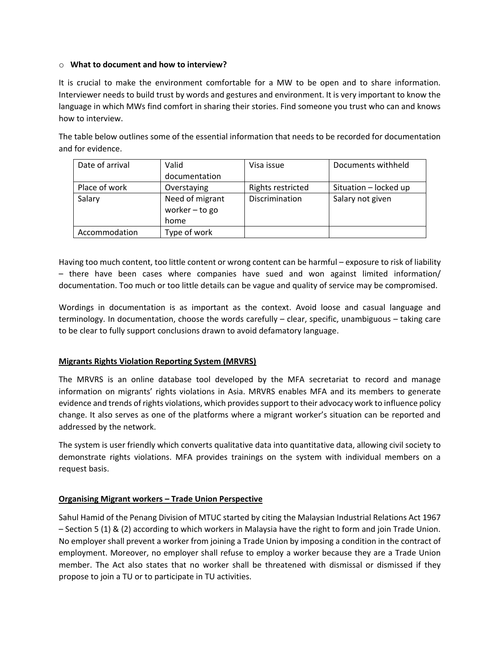#### o **What to document and how to interview?**

It is crucial to make the environment comfortable for a MW to be open and to share information. Interviewer needs to build trust by words and gestures and environment. It is very important to know the language in which MWs find comfort in sharing their stories. Find someone you trust who can and knows how to interview.

The table below outlines some of the essential information that needs to be recorded for documentation and for evidence.

| Date of arrival | Valid           | Visa issue        | Documents withheld    |
|-----------------|-----------------|-------------------|-----------------------|
|                 | documentation   |                   |                       |
| Place of work   | Overstaying     | Rights restricted | Situation - locked up |
| Salary          | Need of migrant | Discrimination    | Salary not given      |
|                 | worker - to go  |                   |                       |
|                 | home            |                   |                       |
| Accommodation   | Type of work    |                   |                       |

Having too much content, too little content or wrong content can be harmful – exposure to risk of liability – there have been cases where companies have sued and won against limited information/ documentation. Too much or too little details can be vague and quality of service may be compromised.

Wordings in documentation is as important as the context. Avoid loose and casual language and terminology. In documentation, choose the words carefully – clear, specific, unambiguous – taking care to be clear to fully support conclusions drawn to avoid defamatory language.

#### **Migrants Rights Violation Reporting System (MRVRS)**

The MRVRS is an online database tool developed by the MFA secretariat to record and manage information on migrants' rights violations in Asia. MRVRS enables MFA and its members to generate evidence and trends of rights violations, which provides support to their advocacy work to influence policy change. It also serves as one of the platforms where a migrant worker's situation can be reported and addressed by the network.

The system is user friendly which converts qualitative data into quantitative data, allowing civil society to demonstrate rights violations. MFA provides trainings on the system with individual members on a request basis.

#### **Organising Migrant workers – Trade Union Perspective**

Sahul Hamid of the Penang Division of MTUC started by citing the Malaysian Industrial Relations Act 1967 – Section 5 (1) & (2) according to which workers in Malaysia have the right to form and join Trade Union. No employer shall prevent a worker from joining a Trade Union by imposing a condition in the contract of employment. Moreover, no employer shall refuse to employ a worker because they are a Trade Union member. The Act also states that no worker shall be threatened with dismissal or dismissed if they propose to join a TU or to participate in TU activities.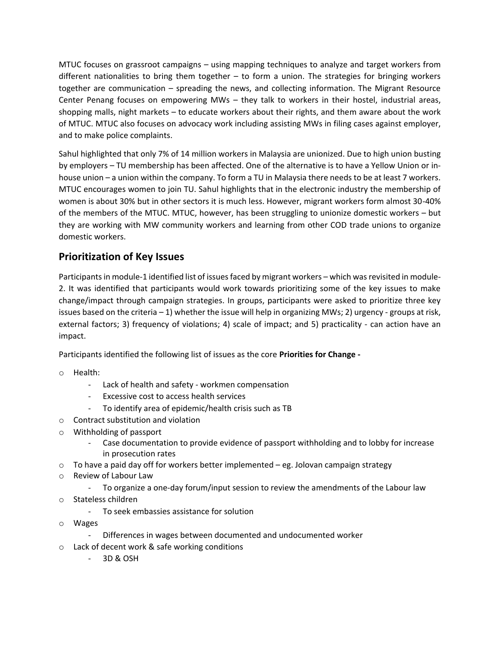MTUC focuses on grassroot campaigns – using mapping techniques to analyze and target workers from different nationalities to bring them together – to form a union. The strategies for bringing workers together are communication – spreading the news, and collecting information. The Migrant Resource Center Penang focuses on empowering MWs – they talk to workers in their hostel, industrial areas, shopping malls, night markets – to educate workers about their rights, and them aware about the work of MTUC. MTUC also focuses on advocacy work including assisting MWs in filing cases against employer, and to make police complaints.

Sahul highlighted that only 7% of 14 million workers in Malaysia are unionized. Due to high union busting by employers – TU membership has been affected. One of the alternative is to have a Yellow Union or inhouse union – a union within the company. To form a TU in Malaysia there needs to be at least 7 workers. MTUC encourages women to join TU. Sahul highlights that in the electronic industry the membership of women is about 30% but in other sectors it is much less. However, migrant workers form almost 30-40% of the members of the MTUC. MTUC, however, has been struggling to unionize domestic workers – but they are working with MW community workers and learning from other COD trade unions to organize domestic workers.

#### **Prioritization of Key Issues**

Participants in module-1 identified list of issues faced by migrant workers – which was revisited in module-2. It was identified that participants would work towards prioritizing some of the key issues to make change/impact through campaign strategies. In groups, participants were asked to prioritize three key issues based on the criteria – 1) whether the issue will help in organizing MWs; 2) urgency - groups at risk, external factors; 3) frequency of violations; 4) scale of impact; and 5) practicality - can action have an impact.

Participants identified the following list of issues as the core **Priorities for Change -**

- o Health:
	- Lack of health and safety workmen compensation
	- Excessive cost to access health services
	- To identify area of epidemic/health crisis such as TB
- o Contract substitution and violation
- o Withholding of passport
	- Case documentation to provide evidence of passport withholding and to lobby for increase in prosecution rates
- $\circ$  To have a paid day off for workers better implemented eg. Jolovan campaign strategy
- o Review of Labour Law
	- To organize a one-day forum/input session to review the amendments of the Labour law
- o Stateless children
	- To seek embassies assistance for solution
- o Wages
	- Differences in wages between documented and undocumented worker
- o Lack of decent work & safe working conditions
	- 3D & OSH